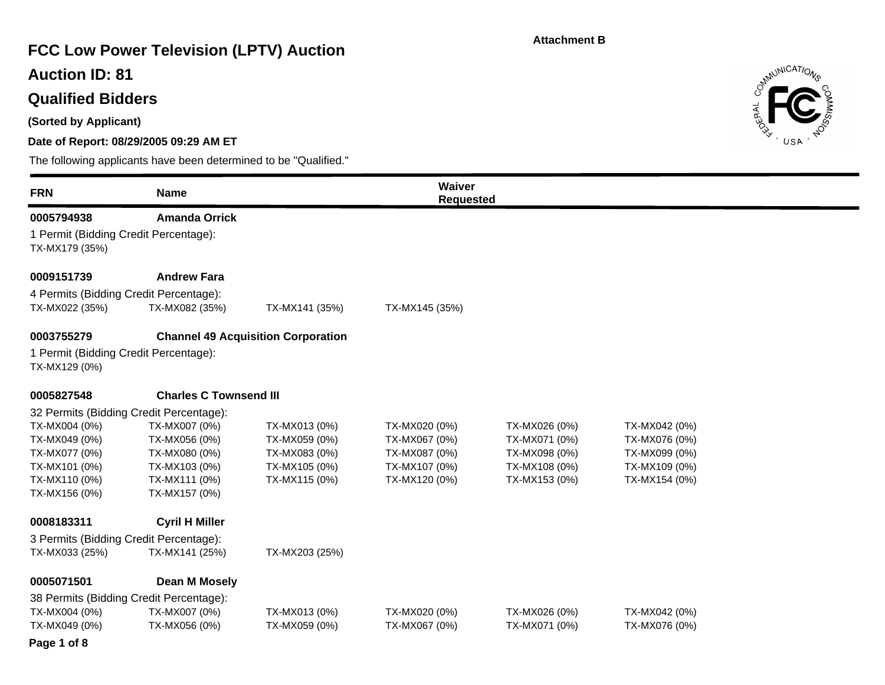# **FCC Low Power Television (LPTV) Auction**

## **Auction ID: 81**

## **Qualified Bidders**

**(Sorted by Applicant)**

#### **Date of Report: 08/29/2005 09:29 AM ET**

The following applicants have been determined to be "Qualified."





#### **Page 1 of 8**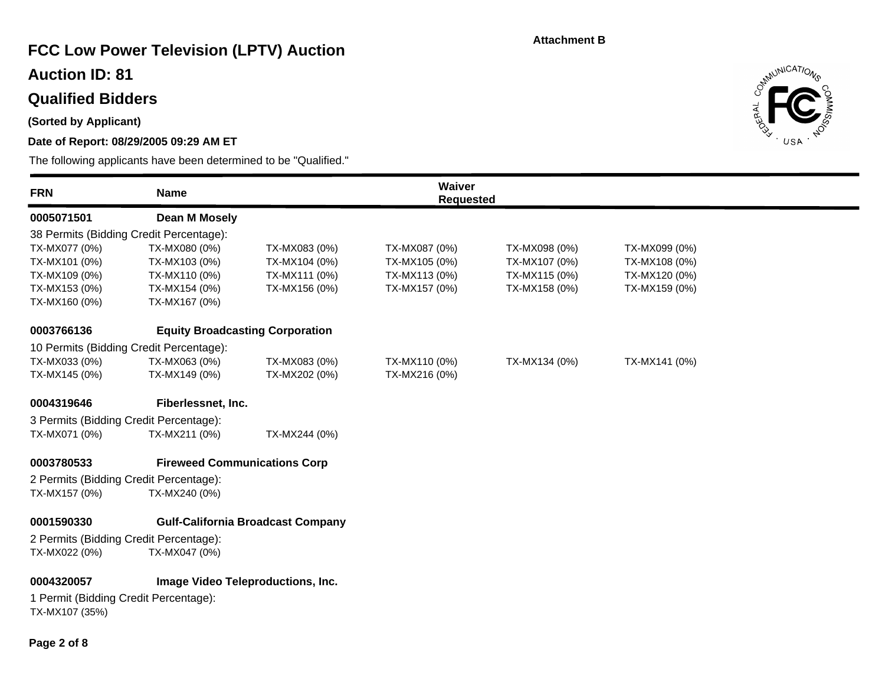# **FCC Low Power Television (LPTV) Auction**

## **Auction ID: 81**

# **Qualified Bidders**

### **(Sorted by Applicant)**

### **Date of Report: 08/29/2005 09:29 AM ET**



| 0005071501<br>38 Permits (Bidding Credit Percentage):<br>TX-MX077 (0%) | Dean M Mosely                          |                                          |               | <b>Requested</b> |               |  |
|------------------------------------------------------------------------|----------------------------------------|------------------------------------------|---------------|------------------|---------------|--|
|                                                                        |                                        |                                          |               |                  |               |  |
|                                                                        |                                        |                                          |               |                  |               |  |
|                                                                        | TX-MX080 (0%)                          | TX-MX083 (0%)                            | TX-MX087 (0%) | TX-MX098 (0%)    | TX-MX099 (0%) |  |
| TX-MX101 (0%)                                                          | TX-MX103 (0%)                          | TX-MX104 (0%)                            | TX-MX105 (0%) | TX-MX107 (0%)    | TX-MX108 (0%) |  |
| TX-MX109 (0%)                                                          | TX-MX110 (0%)                          | TX-MX111 (0%)                            | TX-MX113 (0%) | TX-MX115 (0%)    | TX-MX120 (0%) |  |
| TX-MX153 (0%)                                                          | TX-MX154 (0%)                          | TX-MX156 (0%)                            | TX-MX157 (0%) | TX-MX158 (0%)    | TX-MX159 (0%) |  |
| TX-MX160 (0%)                                                          | TX-MX167 (0%)                          |                                          |               |                  |               |  |
| 0003766136                                                             | <b>Equity Broadcasting Corporation</b> |                                          |               |                  |               |  |
| 10 Permits (Bidding Credit Percentage):                                |                                        |                                          |               |                  |               |  |
| TX-MX033 (0%)                                                          | TX-MX063 (0%)                          | TX-MX083 (0%)                            | TX-MX110 (0%) | TX-MX134 (0%)    | TX-MX141 (0%) |  |
| TX-MX145 (0%)                                                          | TX-MX149 (0%)                          | TX-MX202 (0%)                            | TX-MX216 (0%) |                  |               |  |
| 0004319646                                                             | Fiberlessnet, Inc.                     |                                          |               |                  |               |  |
| 3 Permits (Bidding Credit Percentage):                                 |                                        |                                          |               |                  |               |  |
| TX-MX071 (0%)                                                          | TX-MX211 (0%)                          | TX-MX244 (0%)                            |               |                  |               |  |
| 0003780533                                                             | <b>Fireweed Communications Corp</b>    |                                          |               |                  |               |  |
| 2 Permits (Bidding Credit Percentage):                                 |                                        |                                          |               |                  |               |  |
| TX-MX157 (0%)                                                          | TX-MX240 (0%)                          |                                          |               |                  |               |  |
| 0001590330                                                             |                                        | <b>Gulf-California Broadcast Company</b> |               |                  |               |  |
| 2 Permits (Bidding Credit Percentage):                                 |                                        |                                          |               |                  |               |  |
| TX-MX022 (0%)                                                          | TX-MX047 (0%)                          |                                          |               |                  |               |  |
| 0004320057                                                             |                                        | Image Video Teleproductions, Inc.        |               |                  |               |  |
| 1 Permit (Bidding Credit Percentage):                                  |                                        |                                          |               |                  |               |  |
| TX-MX107 (35%)                                                         |                                        |                                          |               |                  |               |  |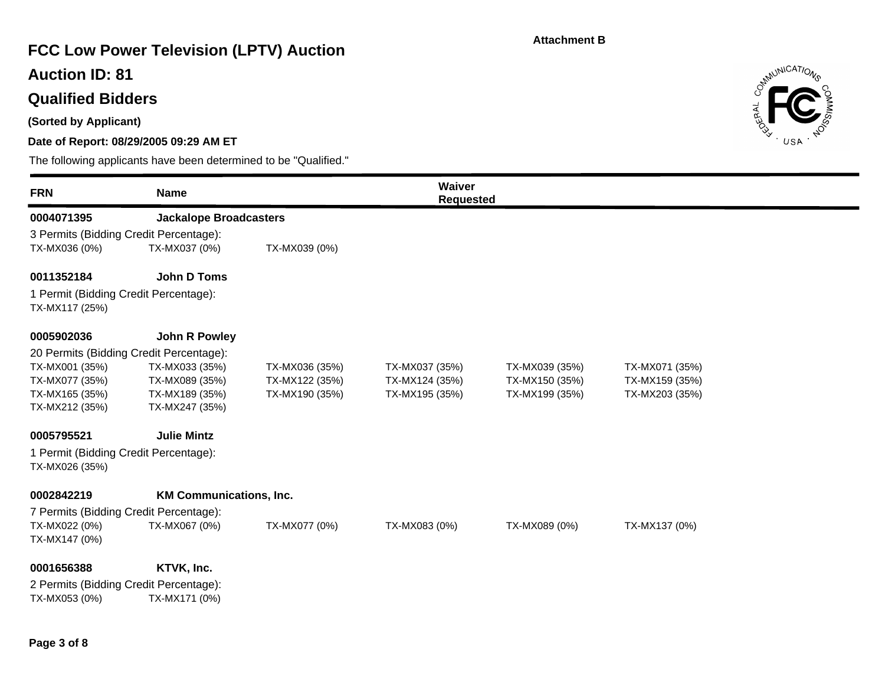# **FCC Low Power Television (LPTV) Auction**

## **Auction ID: 81**

# **Qualified Bidders**

**(Sorted by Applicant)**

### **Date of Report: 08/29/2005 09:29 AM ET**



| <b>FRN</b>                                              | <b>Name</b>                    |                | Waiver<br><b>Requested</b> |                |                |  |
|---------------------------------------------------------|--------------------------------|----------------|----------------------------|----------------|----------------|--|
| 0004071395                                              | <b>Jackalope Broadcasters</b>  |                |                            |                |                |  |
| 3 Permits (Bidding Credit Percentage):                  |                                |                |                            |                |                |  |
| TX-MX036 (0%)                                           | TX-MX037 (0%)                  | TX-MX039 (0%)  |                            |                |                |  |
| 0011352184                                              | <b>John D Toms</b>             |                |                            |                |                |  |
| 1 Permit (Bidding Credit Percentage):<br>TX-MX117 (25%) |                                |                |                            |                |                |  |
| 0005902036                                              | <b>John R Powley</b>           |                |                            |                |                |  |
| 20 Permits (Bidding Credit Percentage):                 |                                |                |                            |                |                |  |
| TX-MX001 (35%)                                          | TX-MX033 (35%)                 | TX-MX036 (35%) | TX-MX037 (35%)             | TX-MX039 (35%) | TX-MX071 (35%) |  |
| TX-MX077 (35%)                                          | TX-MX089 (35%)                 | TX-MX122 (35%) | TX-MX124 (35%)             | TX-MX150 (35%) | TX-MX159 (35%) |  |
| TX-MX165 (35%)                                          | TX-MX189 (35%)                 | TX-MX190 (35%) | TX-MX195 (35%)             | TX-MX199 (35%) | TX-MX203 (35%) |  |
| TX-MX212 (35%)                                          | TX-MX247 (35%)                 |                |                            |                |                |  |
| 0005795521                                              | <b>Julie Mintz</b>             |                |                            |                |                |  |
| 1 Permit (Bidding Credit Percentage):<br>TX-MX026 (35%) |                                |                |                            |                |                |  |
| 0002842219                                              | <b>KM Communications, Inc.</b> |                |                            |                |                |  |
| 7 Permits (Bidding Credit Percentage):                  |                                |                |                            |                |                |  |
| TX-MX022 (0%)                                           | TX-MX067 (0%)                  | TX-MX077 (0%)  | TX-MX083 (0%)              | TX-MX089 (0%)  | TX-MX137 (0%)  |  |
| TX-MX147 (0%)                                           |                                |                |                            |                |                |  |
| 0001656388                                              | KTVK, Inc.                     |                |                            |                |                |  |
| 2 Permits (Bidding Credit Percentage):                  |                                |                |                            |                |                |  |
| TX-MX053 (0%)                                           | TX-MX171 (0%)                  |                |                            |                |                |  |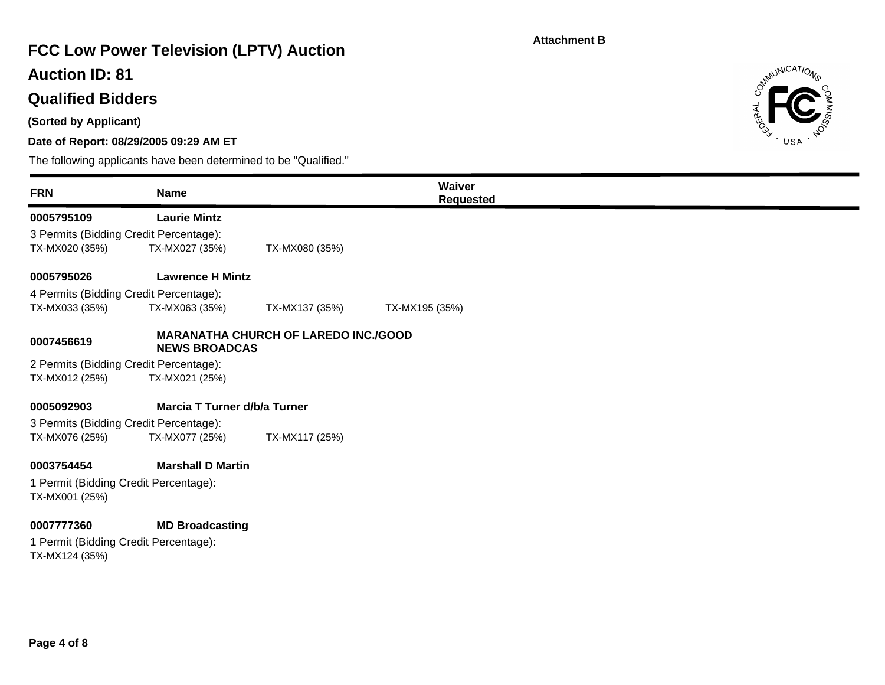# **FCC Low Power Television (LPTV) Auction**

## **Auction ID: 81**

## **Qualified Bidders**

**(Sorted by Applicant)**

#### **Date of Report: 08/29/2005 09:29 AM ET**

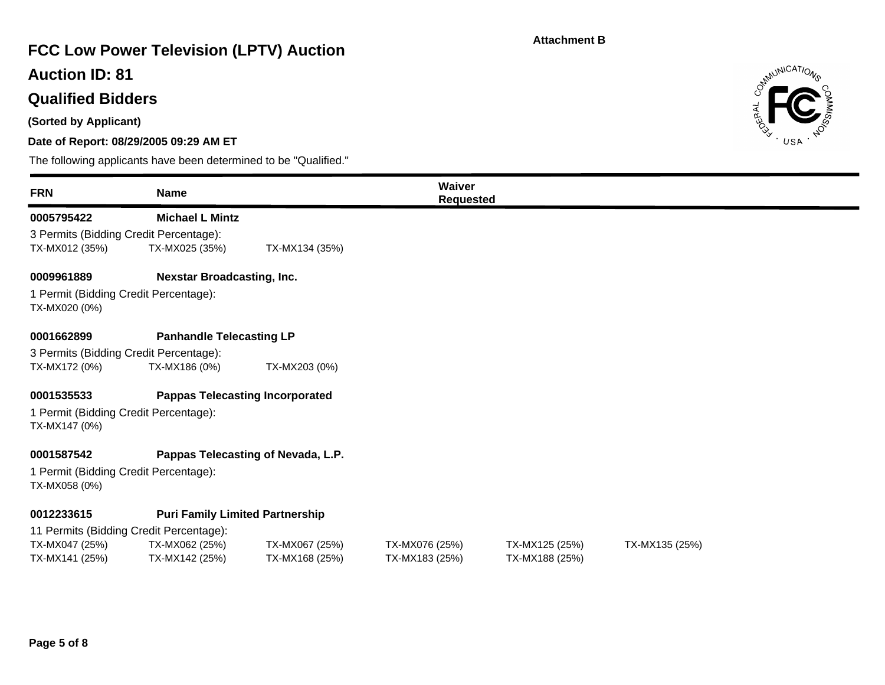# **FCC Low Power Television (LPTV) Auction**

## **Auction ID: 81**

## **Qualified Bidders**

**(Sorted by Applicant)**

#### **Date of Report: 08/29/2005 09:29 AM ET**



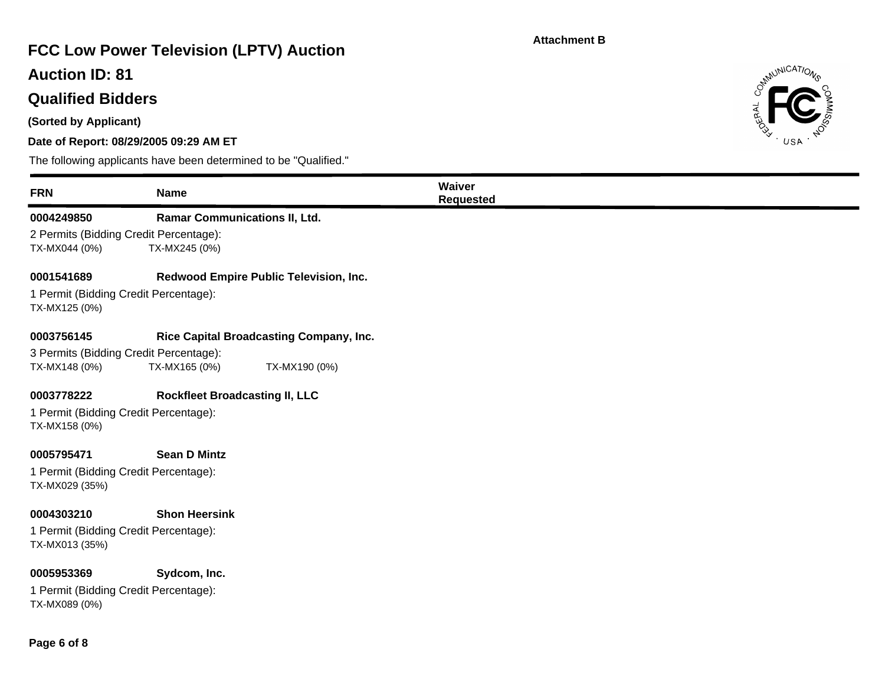# **FCC Low Power Television (LPTV) Auction**

## **Auction ID: 81**

## **Qualified Bidders**

**(Sorted by Applicant)**

#### **Date of Report: 08/29/2005 09:29 AM ET**

The following applicants have been determined to be "Qualified."



Control MICATIONS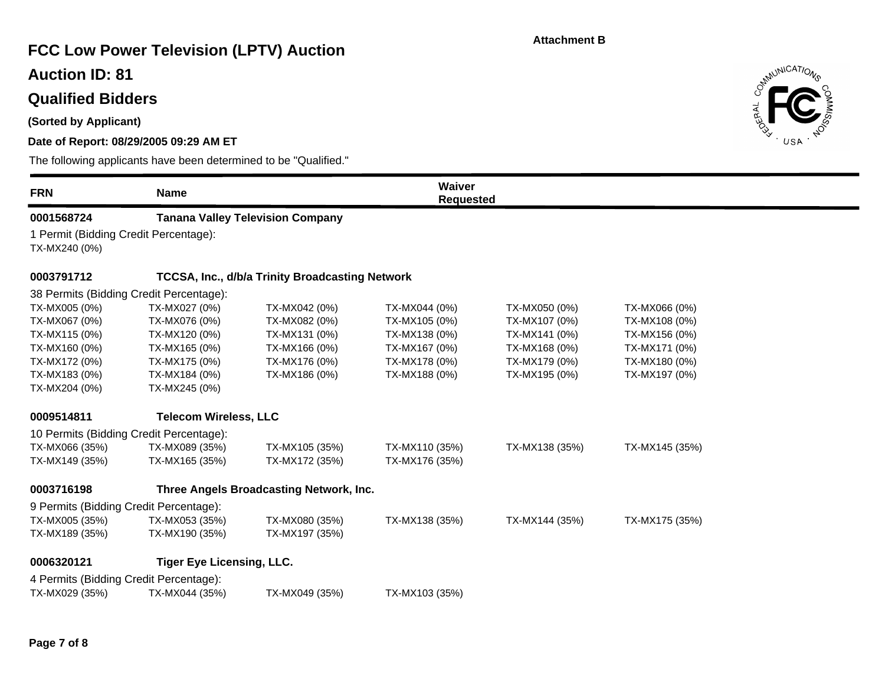# **FCC Low Power Television (LPTV) Auction**

## **Auction ID: 81**

# **Qualified Bidders**

**(Sorted by Applicant)**

### **Date of Report: 08/29/2005 09:29 AM ET**

| <b>FRN</b>                                               | <b>Name</b>                      |                                                        | Waiver<br><b>Requested</b> |                |                |  |
|----------------------------------------------------------|----------------------------------|--------------------------------------------------------|----------------------------|----------------|----------------|--|
| 0001568724                                               |                                  | <b>Tanana Valley Television Company</b>                |                            |                |                |  |
| 1 Permit (Bidding Credit Percentage):<br>TX-MX240 (0%)   |                                  |                                                        |                            |                |                |  |
| 0003791712                                               |                                  | <b>TCCSA, Inc., d/b/a Trinity Broadcasting Network</b> |                            |                |                |  |
| 38 Permits (Bidding Credit Percentage):                  |                                  |                                                        |                            |                |                |  |
| TX-MX005 (0%)                                            | TX-MX027 (0%)                    | TX-MX042 (0%)                                          | TX-MX044 (0%)              | TX-MX050 (0%)  | TX-MX066 (0%)  |  |
| TX-MX067 (0%)                                            | TX-MX076 (0%)                    | TX-MX082 (0%)                                          | TX-MX105 (0%)              | TX-MX107 (0%)  | TX-MX108 (0%)  |  |
| TX-MX115 (0%)                                            | TX-MX120 (0%)                    | TX-MX131 (0%)                                          | TX-MX138 (0%)              | TX-MX141 (0%)  | TX-MX156 (0%)  |  |
| TX-MX160 (0%)                                            | TX-MX165 (0%)                    | TX-MX166 (0%)                                          | TX-MX167 (0%)              | TX-MX168 (0%)  | TX-MX171 (0%)  |  |
| TX-MX172 (0%)                                            | TX-MX175 (0%)                    | TX-MX176 (0%)                                          | TX-MX178 (0%)              | TX-MX179 (0%)  | TX-MX180 (0%)  |  |
| TX-MX183 (0%)                                            | TX-MX184 (0%)                    | TX-MX186 (0%)                                          | TX-MX188 (0%)              | TX-MX195 (0%)  | TX-MX197 (0%)  |  |
| TX-MX204 (0%)                                            | TX-MX245 (0%)                    |                                                        |                            |                |                |  |
| 0009514811                                               | <b>Telecom Wireless, LLC</b>     |                                                        |                            |                |                |  |
| 10 Permits (Bidding Credit Percentage):                  |                                  |                                                        |                            |                |                |  |
| TX-MX066 (35%)                                           | TX-MX089 (35%)                   | TX-MX105 (35%)                                         | TX-MX110 (35%)             | TX-MX138 (35%) | TX-MX145 (35%) |  |
| TX-MX149 (35%)                                           | TX-MX165 (35%)                   | TX-MX172 (35%)                                         | TX-MX176 (35%)             |                |                |  |
| 0003716198                                               |                                  | Three Angels Broadcasting Network, Inc.                |                            |                |                |  |
| 9 Permits (Bidding Credit Percentage):                   |                                  |                                                        |                            |                |                |  |
| TX-MX005 (35%)                                           | TX-MX053 (35%)                   | TX-MX080 (35%)                                         | TX-MX138 (35%)             | TX-MX144 (35%) | TX-MX175 (35%) |  |
| TX-MX189 (35%)                                           | TX-MX190 (35%)                   | TX-MX197 (35%)                                         |                            |                |                |  |
| 0006320121                                               | <b>Tiger Eye Licensing, LLC.</b> |                                                        |                            |                |                |  |
| 4 Permits (Bidding Credit Percentage):<br>TX-MX029 (35%) | TX-MX044 (35%)                   | TX-MX049 (35%)                                         | TX-MX103 (35%)             |                |                |  |